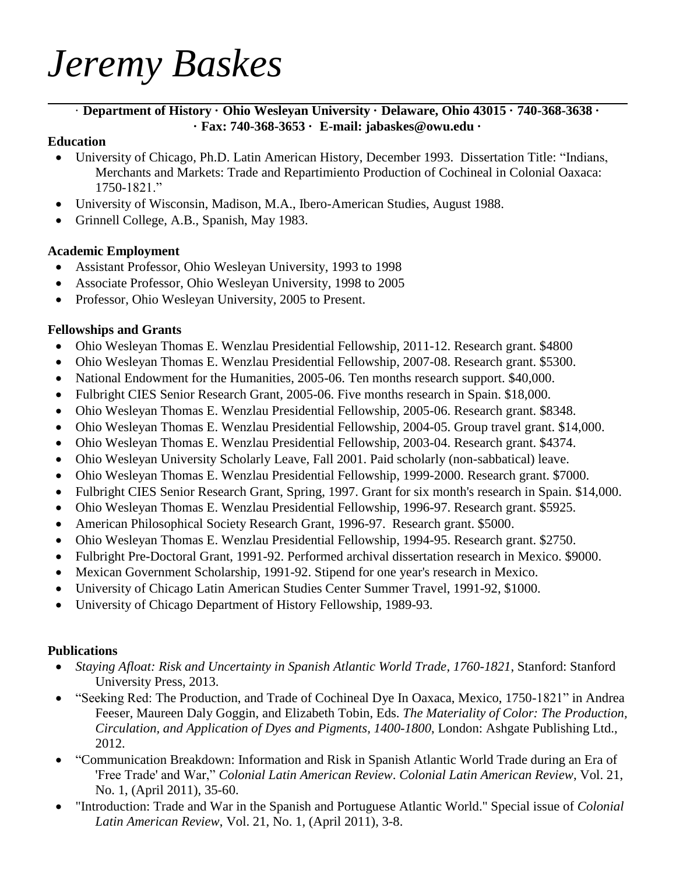# *Jeremy Baskes*

#### · **Department of History · Ohio Wesleyan University · Delaware, Ohio 43015 · 740-368-3638 · · Fax: 740-368-3653 · E-mail: jabaskes@owu.edu ·**

#### **Education**

- University of Chicago, Ph.D. Latin American History, December 1993. Dissertation Title: "Indians, Merchants and Markets: Trade and Repartimiento Production of Cochineal in Colonial Oaxaca: 1750-1821."
- University of Wisconsin, Madison, M.A., Ibero-American Studies, August 1988.
- Grinnell College, A.B., Spanish, May 1983.

#### **Academic Employment**

- Assistant Professor, Ohio Wesleyan University, 1993 to 1998
- Associate Professor, Ohio Wesleyan University, 1998 to 2005
- Professor, Ohio Wesleyan University, 2005 to Present.

#### **Fellowships and Grants**

- Ohio Wesleyan Thomas E. Wenzlau Presidential Fellowship, 2011-12. Research grant. \$4800
- Ohio Wesleyan Thomas E. Wenzlau Presidential Fellowship, 2007-08. Research grant. \$5300.
- National Endowment for the Humanities, 2005-06. Ten months research support. \$40,000.
- Fulbright CIES Senior Research Grant, 2005-06. Five months research in Spain. \$18,000.
- Ohio Wesleyan Thomas E. Wenzlau Presidential Fellowship, 2005-06. Research grant. \$8348.
- Ohio Wesleyan Thomas E. Wenzlau Presidential Fellowship, 2004-05. Group travel grant. \$14,000.
- Ohio Wesleyan Thomas E. Wenzlau Presidential Fellowship, 2003-04. Research grant. \$4374.
- Ohio Wesleyan University Scholarly Leave, Fall 2001. Paid scholarly (non-sabbatical) leave.
- Ohio Wesleyan Thomas E. Wenzlau Presidential Fellowship, 1999-2000. Research grant. \$7000.
- Fulbright CIES Senior Research Grant, Spring, 1997. Grant for six month's research in Spain. \$14,000.
- Ohio Wesleyan Thomas E. Wenzlau Presidential Fellowship, 1996-97. Research grant. \$5925.
- American Philosophical Society Research Grant, 1996-97. Research grant. \$5000.
- Ohio Wesleyan Thomas E. Wenzlau Presidential Fellowship, 1994-95. Research grant. \$2750.
- Fulbright Pre-Doctoral Grant, 1991-92. Performed archival dissertation research in Mexico. \$9000.
- Mexican Government Scholarship, 1991-92. Stipend for one year's research in Mexico.
- University of Chicago Latin American Studies Center Summer Travel, 1991-92, \$1000.
- University of Chicago Department of History Fellowship, 1989-93.

## **Publications**

- *Staying Afloat: Risk and Uncertainty in Spanish Atlantic World Trade, 1760-1821*, Stanford: Stanford University Press, 2013.
- "Seeking Red: The Production, and Trade of Cochineal Dye In Oaxaca, Mexico, 1750-1821" in Andrea Feeser, Maureen Daly Goggin, and Elizabeth Tobin, Eds. *The Materiality of Color: The Production, Circulation, and Application of Dyes and Pigments, 1400-1800*, London: Ashgate Publishing Ltd., 2012.
- "Communication Breakdown: Information and Risk in Spanish Atlantic World Trade during an Era of 'Free Trade' and War," *Colonial Latin American Review*. *Colonial Latin American Review*, Vol. 21, No. 1, (April 2011), 35-60.
- "Introduction: Trade and War in the Spanish and Portuguese Atlantic World." Special issue of *Colonial Latin American Review*, Vol. 21, No. 1, (April 2011), 3-8.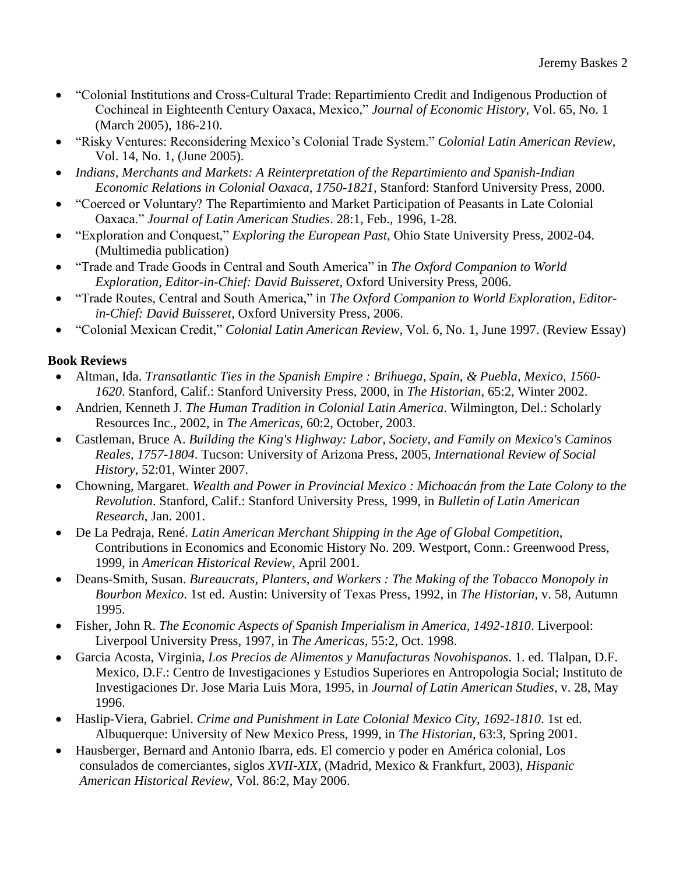- "Colonial Institutions and Cross-Cultural Trade: Repartimiento Credit and Indigenous Production of Cochineal in Eighteenth Century Oaxaca, Mexico," *Journal of Economic History*, Vol. 65, No. 1 (March 2005), 186-210.
- "Risky Ventures: Reconsidering Mexico's Colonial Trade System." *Colonial Latin American Review*, Vol. 14, No. 1, (June 2005).
- *Indians, Merchants and Markets: A Reinterpretation of the Repartimiento and Spanish-Indian Economic Relations in Colonial Oaxaca, 1750-1821*, Stanford: Stanford University Press, 2000.
- "Coerced or Voluntary? The Repartimiento and Market Participation of Peasants in Late Colonial Oaxaca." *Journal of Latin American Studies*. 28:1, Feb., 1996, 1-28.
- "Exploration and Conquest," *Exploring the European Past*, Ohio State University Press, 2002-04. (Multimedia publication)
- "Trade and Trade Goods in Central and South America" in *The Oxford Companion to World Exploration, Editor-in-Chief: David Buisseret*, Oxford University Press, 2006.
- "Trade Routes, Central and South America," in *The Oxford Companion to World Exploration, Editorin-Chief: David Buisseret*, Oxford University Press, 2006.
- "Colonial Mexican Credit," *Colonial Latin American Review*, Vol. 6, No. 1, June 1997. (Review Essay)

## **Book Reviews**

- Altman, Ida. *Transatlantic Ties in the Spanish Empire : Brihuega, Spain, & Puebla, Mexico, 1560- 1620*. Stanford, Calif.: Stanford University Press, 2000, in *The Historian*, 65:2, Winter 2002.
- Andrien, Kenneth J. *The Human Tradition in Colonial Latin America*. Wilmington, Del.: Scholarly Resources Inc., 2002, in *The Americas*, 60:2, October, 2003.
- Castleman, Bruce A. *Building the King's Highway: Labor, Society, and Family on Mexico's Caminos Reales, 1757-1804*. Tucson: University of Arizona Press, 2005, *International Review of Social History*, 52:01, Winter 2007.
- Chowning, Margaret. *Wealth and Power in Provincial Mexico : Michoacán from the Late Colony to the Revolution*. Stanford, Calif.: Stanford University Press, 1999, in *Bulletin of Latin American Research*, Jan. 2001.
- De La Pedraja, René. *Latin American Merchant Shipping in the Age of Global Competition*, Contributions in Economics and Economic History No. 209. Westport, Conn.: Greenwood Press, 1999, in *American Historical Review*, April 2001.
- Deans-Smith, Susan. *Bureaucrats, Planters, and Workers : The Making of the Tobacco Monopoly in Bourbon Mexico*. 1st ed. Austin: University of Texas Press, 1992, in *The Historian*, v. 58, Autumn 1995.
- Fisher, John R. *The Economic Aspects of Spanish Imperialism in America, 1492-1810*. Liverpool: Liverpool University Press, 1997, in *The Americas,* 55:2, Oct. 1998.
- Garcia Acosta, Virginia, *Los Precios de Alimentos y Manufacturas Novohispanos*. 1. ed. Tlalpan, D.F. Mexico, D.F.: Centro de Investigaciones y Estudios Superiores en Antropologia Social; Instituto de Investigaciones Dr. Jose Maria Luis Mora, 1995, in *Journal of Latin American Studies*, v. 28, May 1996.
- Haslip-Viera, Gabriel. *Crime and Punishment in Late Colonial Mexico City, 1692-1810*. 1st ed. Albuquerque: University of New Mexico Press, 1999, in *The Historian*, 63:3, Spring 2001.
- Hausberger, Bernard and Antonio Ibarra, eds. El comercio y poder en América colonial, Los consulados de comerciantes, siglos *XVII-XIX*, (Madrid, Mexico & Frankfurt, 2003), *Hispanic American Historical Review*, Vol. 86:2, May 2006.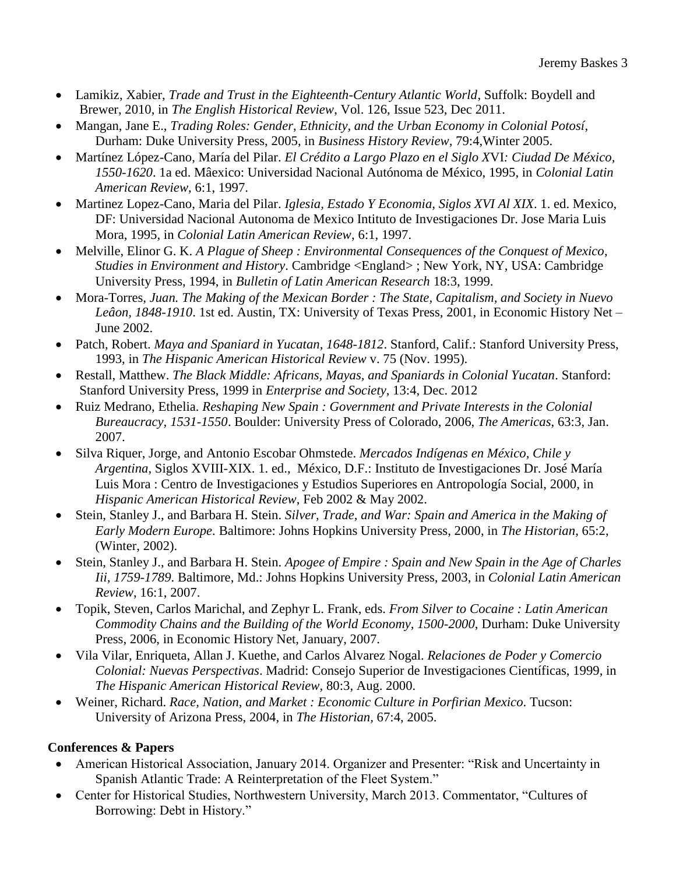- Lamikiz, Xabier, *Trade and Trust in the Eighteenth-Century Atlantic World*, Suffolk: Boydell and Brewer, 2010, in *The English Historical Review*, Vol. 126, Issue 523, Dec 2011.
- Mangan, Jane E., *Trading Roles: Gender, Ethnicity, and the Urban Economy in Colonial Potosí*, Durham: Duke University Press, 2005, in *Business History Review,* 79:4,Winter 2005.
- Martínez López-Cano, María del Pilar. *El Crédito a Largo Plazo en el Siglo X*VI*: Ciudad De México, 1550-1620*. 1a ed. Mâexico: Universidad Nacional Autónoma de México, 1995, in *Colonial Latin American Review*, 6:1, 1997.
- Martinez Lopez-Cano, Maria del Pilar. *Iglesia, Estado Y Economia, Siglos XVI Al XIX*. 1. ed. Mexico, DF: Universidad Nacional Autonoma de Mexico Intituto de Investigaciones Dr. Jose Maria Luis Mora, 1995, in *Colonial Latin American Review*, 6:1, 1997.
- Melville, Elinor G. K. *A Plague of Sheep : Environmental Consequences of the Conquest of Mexico*, *Studies in Environment and History*. Cambridge <England> ; New York, NY, USA: Cambridge University Press, 1994, in *Bulletin of Latin American Research* 18:3, 1999.
- Mora-Torres, *Juan. The Making of the Mexican Border : The State, Capitalism, and Society in Nuevo Leâon, 1848-1910*. 1st ed. Austin, TX: University of Texas Press, 2001, in Economic History Net – June 2002.
- Patch, Robert. *Maya and Spaniard in Yucatan, 1648-1812*. Stanford, Calif.: Stanford University Press, 1993, in *The Hispanic American Historical Review* v. 75 (Nov. 1995).
- Restall, Matthew. *The Black Middle: Africans, Mayas, and Spaniards in Colonial Yucatan*. Stanford: Stanford University Press, 1999 in *Enterprise and Society*, 13:4, Dec. 2012
- Ruiz Medrano, Ethelia. *Reshaping New Spain : Government and Private Interests in the Colonial Bureaucracy, 1531-1550*. Boulder: University Press of Colorado, 2006, *The Americas*, 63:3, Jan. 2007.
- Silva Riquer, Jorge, and Antonio Escobar Ohmstede. *Mercados Indígenas en México, Chile y Argentina*, Siglos XVIII-XIX. 1. ed., México, D.F.: Instituto de Investigaciones Dr. José María Luis Mora : Centro de Investigaciones y Estudios Superiores en Antropología Social, 2000, in *Hispanic American Historical Review*, Feb 2002 & May 2002.
- Stein, Stanley J., and Barbara H. Stein. *Silver, Trade, and War: Spain and America in the Making of Early Modern Europe*. Baltimore: Johns Hopkins University Press, 2000, in *The Historian*, 65:2, (Winter, 2002).
- Stein, Stanley J., and Barbara H. Stein. *Apogee of Empire : Spain and New Spain in the Age of Charles Iii, 1759-1789*. Baltimore, Md.: Johns Hopkins University Press, 2003, in *Colonial Latin American Review*, 16:1, 2007.
- Topik, Steven, Carlos Marichal, and Zephyr L. Frank, eds. *From Silver to Cocaine : Latin American Commodity Chains and the Building of the World Economy, 1500-2000*, Durham: Duke University Press, 2006, in Economic History Net, January, 2007.
- Vila Vilar, Enriqueta, Allan J. Kuethe, and Carlos Alvarez Nogal. *Relaciones de Poder y Comercio Colonial: Nuevas Perspectivas*. Madrid: Consejo Superior de Investigaciones Científicas, 1999, in *The Hispanic American Historical Review,* 80:3, Aug. 2000.
- Weiner, Richard. *Race, Nation, and Market : Economic Culture in Porfirian Mexico*. Tucson: University of Arizona Press, 2004, in *The Historian,* 67:4, 2005.

## **Conferences & Papers**

- American Historical Association, January 2014. Organizer and Presenter: "Risk and Uncertainty in Spanish Atlantic Trade: A Reinterpretation of the Fleet System."
- Center for Historical Studies, Northwestern University, March 2013. Commentator, "Cultures of Borrowing: Debt in History."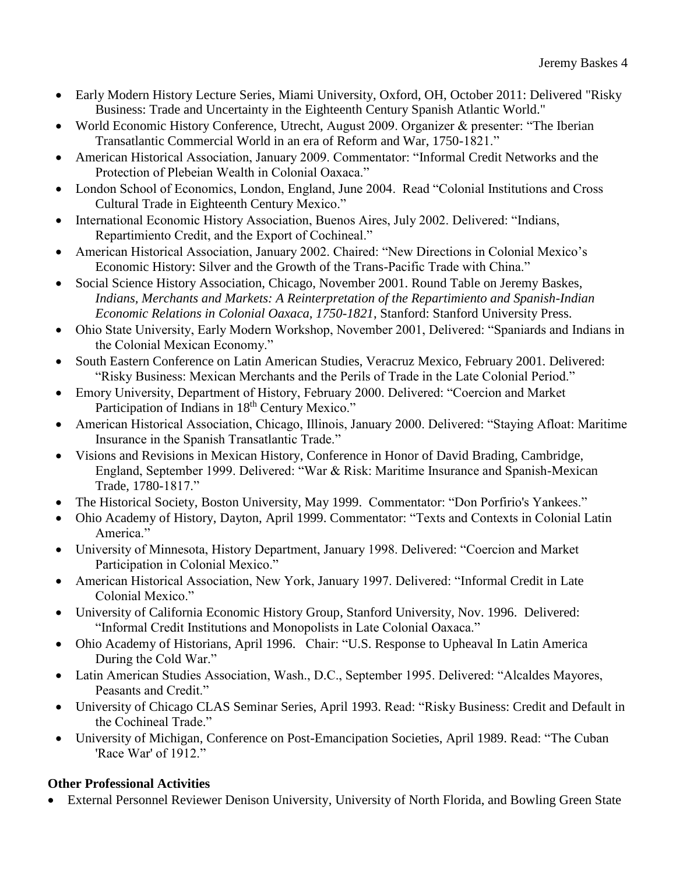- Early Modern History Lecture Series, Miami University, Oxford, OH, October 2011: Delivered "Risky Business: Trade and Uncertainty in the Eighteenth Century Spanish Atlantic World."
- World Economic History Conference, Utrecht, August 2009. Organizer & presenter: "The Iberian Transatlantic Commercial World in an era of Reform and War, 1750-1821."
- American Historical Association, January 2009. Commentator: "Informal Credit Networks and the Protection of Plebeian Wealth in Colonial Oaxaca."
- London School of Economics, London, England, June 2004. Read "Colonial Institutions and Cross Cultural Trade in Eighteenth Century Mexico."
- International Economic History Association, Buenos Aires, July 2002. Delivered: "Indians, Repartimiento Credit, and the Export of Cochineal."
- American Historical Association, January 2002. Chaired: "New Directions in Colonial Mexico's Economic History: Silver and the Growth of the Trans-Pacific Trade with China."
- Social Science History Association, Chicago, November 2001. Round Table on Jeremy Baskes, *Indians, Merchants and Markets: A Reinterpretation of the Repartimiento and Spanish-Indian Economic Relations in Colonial Oaxaca, 1750-1821*, Stanford: Stanford University Press.
- Ohio State University, Early Modern Workshop, November 2001, Delivered: "Spaniards and Indians in the Colonial Mexican Economy."
- South Eastern Conference on Latin American Studies, Veracruz Mexico, February 2001. Delivered: "Risky Business: Mexican Merchants and the Perils of Trade in the Late Colonial Period."
- Emory University, Department of History, February 2000. Delivered: "Coercion and Market Participation of Indians in 18<sup>th</sup> Century Mexico."
- American Historical Association, Chicago, Illinois, January 2000. Delivered: "Staying Afloat: Maritime Insurance in the Spanish Transatlantic Trade."
- Visions and Revisions in Mexican History, Conference in Honor of David Brading, Cambridge, England, September 1999. Delivered: "War & Risk: Maritime Insurance and Spanish-Mexican Trade, 1780-1817."
- The Historical Society, Boston University, May 1999. Commentator: "Don Porfirio's Yankees."
- Ohio Academy of History, Dayton, April 1999. Commentator: "Texts and Contexts in Colonial Latin America."
- University of Minnesota, History Department, January 1998. Delivered: "Coercion and Market Participation in Colonial Mexico."
- American Historical Association, New York, January 1997. Delivered: "Informal Credit in Late Colonial Mexico."
- University of California Economic History Group, Stanford University, Nov. 1996. Delivered: "Informal Credit Institutions and Monopolists in Late Colonial Oaxaca."
- Ohio Academy of Historians, April 1996. Chair: "U.S. Response to Upheaval In Latin America During the Cold War."
- Latin American Studies Association, Wash., D.C., September 1995. Delivered: "Alcaldes Mayores, Peasants and Credit."
- University of Chicago CLAS Seminar Series, April 1993. Read: "Risky Business: Credit and Default in the Cochineal Trade."
- University of Michigan, Conference on Post-Emancipation Societies, April 1989. Read: "The Cuban 'Race War' of 1912."

## **Other Professional Activities**

External Personnel Reviewer Denison University, University of North Florida, and Bowling Green State